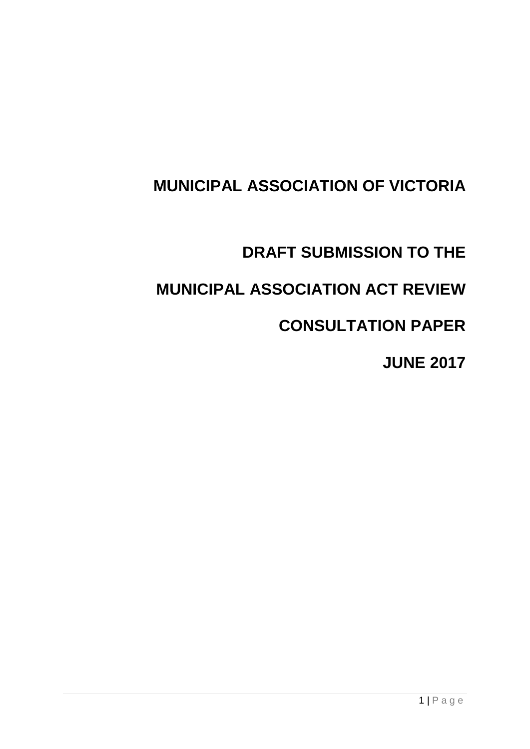# **MUNICIPAL ASSOCIATION OF VICTORIA**

# **DRAFT SUBMISSION TO THE**

# **MUNICIPAL ASSOCIATION ACT REVIEW**

# **CONSULTATION PAPER**

### **JUNE 2017**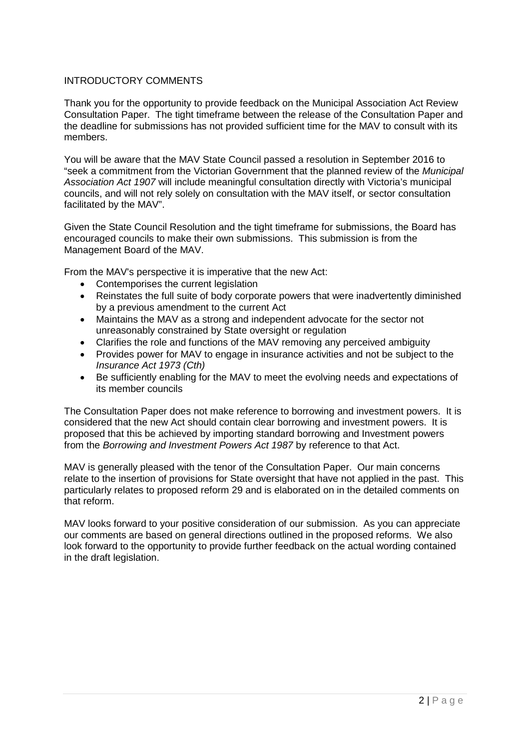#### INTRODUCTORY COMMENTS

Thank you for the opportunity to provide feedback on the Municipal Association Act Review Consultation Paper. The tight timeframe between the release of the Consultation Paper and the deadline for submissions has not provided sufficient time for the MAV to consult with its members.

You will be aware that the MAV State Council passed a resolution in September 2016 to "seek a commitment from the Victorian Government that the planned review of the *Municipal Association Act 1907* will include meaningful consultation directly with Victoria's municipal councils, and will not rely solely on consultation with the MAV itself, or sector consultation facilitated by the MAV".

Given the State Council Resolution and the tight timeframe for submissions, the Board has encouraged councils to make their own submissions. This submission is from the Management Board of the MAV.

From the MAV's perspective it is imperative that the new Act:

- Contemporises the current legislation
- Reinstates the full suite of body corporate powers that were inadvertently diminished by a previous amendment to the current Act
- Maintains the MAV as a strong and independent advocate for the sector not unreasonably constrained by State oversight or regulation
- Clarifies the role and functions of the MAV removing any perceived ambiguity
- Provides power for MAV to engage in insurance activities and not be subject to the *Insurance Act 1973 (Cth)*
- Be sufficiently enabling for the MAV to meet the evolving needs and expectations of its member councils

The Consultation Paper does not make reference to borrowing and investment powers. It is considered that the new Act should contain clear borrowing and investment powers. It is proposed that this be achieved by importing standard borrowing and Investment powers from the *Borrowing and Investment Powers Act 1987* by reference to that Act.

MAV is generally pleased with the tenor of the Consultation Paper. Our main concerns relate to the insertion of provisions for State oversight that have not applied in the past. This particularly relates to proposed reform 29 and is elaborated on in the detailed comments on that reform.

MAV looks forward to your positive consideration of our submission. As you can appreciate our comments are based on general directions outlined in the proposed reforms. We also look forward to the opportunity to provide further feedback on the actual wording contained in the draft legislation.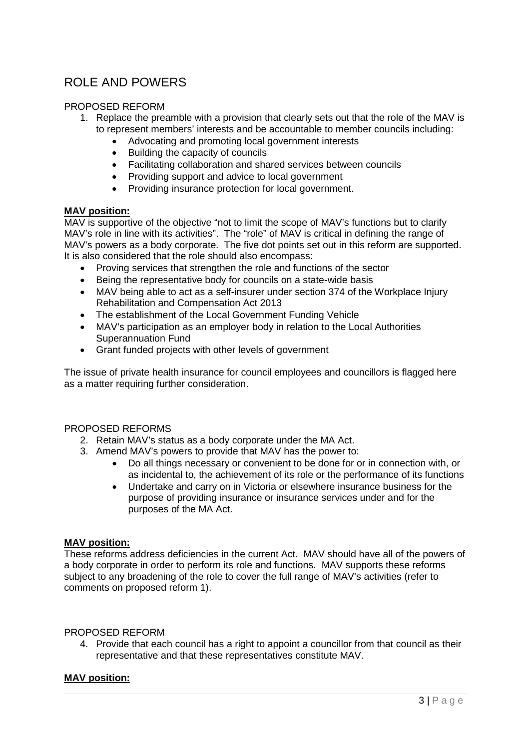### ROLE AND POWERS

#### PROPOSED REFORM

- 1. Replace the preamble with a provision that clearly sets out that the role of the MAV is to represent members' interests and be accountable to member councils including:
	- Advocating and promoting local government interests
	- Building the capacity of councils
	- Facilitating collaboration and shared services between councils
	- Providing support and advice to local government
	- Providing insurance protection for local government.

#### **MAV position:**

MAV is supportive of the objective "not to limit the scope of MAV's functions but to clarify MAV's role in line with its activities". The "role" of MAV is critical in defining the range of MAV's powers as a body corporate. The five dot points set out in this reform are supported. It is also considered that the role should also encompass:

- Proving services that strengthen the role and functions of the sector
- Being the representative body for councils on a state-wide basis
- MAV being able to act as a self-insurer under section 374 of the Workplace Injury Rehabilitation and Compensation Act 2013
- The establishment of the Local Government Funding Vehicle
- MAV's participation as an employer body in relation to the Local Authorities Superannuation Fund
- Grant funded projects with other levels of government

The issue of private health insurance for council employees and councillors is flagged here as a matter requiring further consideration.

#### PROPOSED REFORMS

- 2. Retain MAV's status as a body corporate under the MA Act.
- 3. Amend MAV's powers to provide that MAV has the power to:
	- Do all things necessary or convenient to be done for or in connection with, or as incidental to, the achievement of its role or the performance of its functions
	- Undertake and carry on in Victoria or elsewhere insurance business for the purpose of providing insurance or insurance services under and for the purposes of the MA Act.

#### **MAV position:**

These reforms address deficiencies in the current Act. MAV should have all of the powers of a body corporate in order to perform its role and functions. MAV supports these reforms subject to any broadening of the role to cover the full range of MAV's activities (refer to comments on proposed reform 1).

#### PROPOSED REFORM

4. Provide that each council has a right to appoint a councillor from that council as their representative and that these representatives constitute MAV.

#### **MAV position:**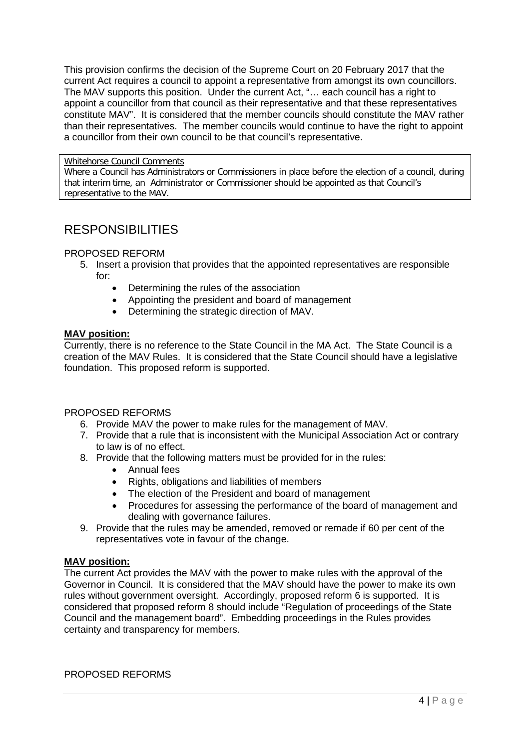This provision confirms the decision of the Supreme Court on 20 February 2017 that the current Act requires a council to appoint a representative from amongst its own councillors. The MAV supports this position. Under the current Act, "… each council has a right to appoint a councillor from that council as their representative and that these representatives constitute MAV". It is considered that the member councils should constitute the MAV rather than their representatives. The member councils would continue to have the right to appoint a councillor from their own council to be that council's representative.

#### Whitehorse Council Comments

Where a Council has Administrators or Commissioners in place before the election of a council, during that interim time, an Administrator or Commissioner should be appointed as that Council's representative to the MAV.

### **RESPONSIBILITIES**

#### PROPOSED REFORM

- 5. Insert a provision that provides that the appointed representatives are responsible for:
	- Determining the rules of the association
	- Appointing the president and board of management
	- Determining the strategic direction of MAV.

#### **MAV position:**

Currently, there is no reference to the State Council in the MA Act. The State Council is a creation of the MAV Rules. It is considered that the State Council should have a legislative foundation. This proposed reform is supported.

#### PROPOSED REFORMS

- 6. Provide MAV the power to make rules for the management of MAV.
- 7. Provide that a rule that is inconsistent with the Municipal Association Act or contrary to law is of no effect.
- 8. Provide that the following matters must be provided for in the rules:
	- Annual fees
	- Rights, obligations and liabilities of members
	- The election of the President and board of management
	- Procedures for assessing the performance of the board of management and dealing with governance failures.
- 9. Provide that the rules may be amended, removed or remade if 60 per cent of the representatives vote in favour of the change.

#### **MAV position:**

The current Act provides the MAV with the power to make rules with the approval of the Governor in Council. It is considered that the MAV should have the power to make its own rules without government oversight. Accordingly, proposed reform 6 is supported. It is considered that proposed reform 8 should include "Regulation of proceedings of the State Council and the management board". Embedding proceedings in the Rules provides certainty and transparency for members.

PROPOSED REFORMS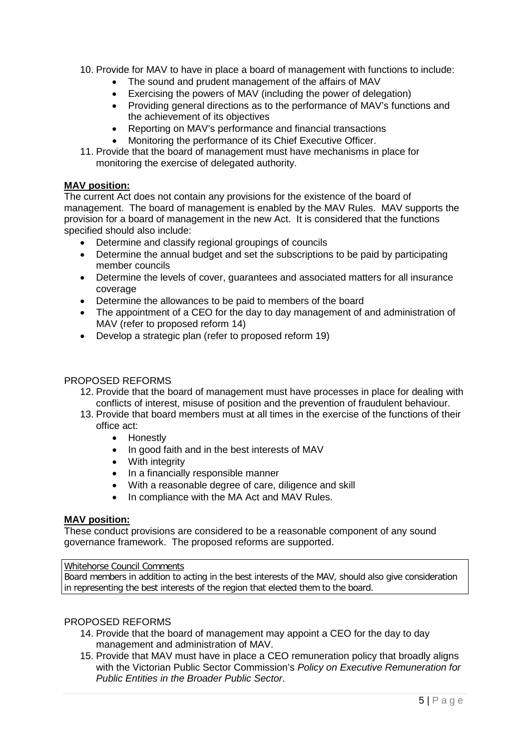- 10. Provide for MAV to have in place a board of management with functions to include:
	- The sound and prudent management of the affairs of MAV
	- Exercising the powers of MAV (including the power of delegation)
	- Providing general directions as to the performance of MAV's functions and the achievement of its objectives
	- Reporting on MAV's performance and financial transactions
	- Monitoring the performance of its Chief Executive Officer.
- 11. Provide that the board of management must have mechanisms in place for monitoring the exercise of delegated authority.

#### **MAV position:**

The current Act does not contain any provisions for the existence of the board of management. The board of management is enabled by the MAV Rules. MAV supports the provision for a board of management in the new Act. It is considered that the functions specified should also include:

- Determine and classify regional groupings of councils
- Determine the annual budget and set the subscriptions to be paid by participating member councils
- Determine the levels of cover, guarantees and associated matters for all insurance coverage
- Determine the allowances to be paid to members of the board
- The appointment of a CEO for the day to day management of and administration of MAV (refer to proposed reform 14)
- Develop a strategic plan (refer to proposed reform 19)

#### PROPOSED REFORMS

- 12. Provide that the board of management must have processes in place for dealing with conflicts of interest, misuse of position and the prevention of fraudulent behaviour.
- 13. Provide that board members must at all times in the exercise of the functions of their office act:
	- Honestly
	- In good faith and in the best interests of MAV
	- With integrity
	- In a financially responsible manner
	- With a reasonable degree of care, diligence and skill
	- In compliance with the MA Act and MAV Rules.

#### **MAV position:**

These conduct provisions are considered to be a reasonable component of any sound governance framework. The proposed reforms are supported.

#### Whitehorse Council Comments

Board members in addition to acting in the best interests of the MAV, should also give consideration in representing the best interests of the region that elected them to the board.

#### PROPOSED REFORMS

- 14. Provide that the board of management may appoint a CEO for the day to day management and administration of MAV.
- 15. Provide that MAV must have in place a CEO remuneration policy that broadly aligns with the Victorian Public Sector Commission's *Policy on Executive Remuneration for Public Entities in the Broader Public Sector*.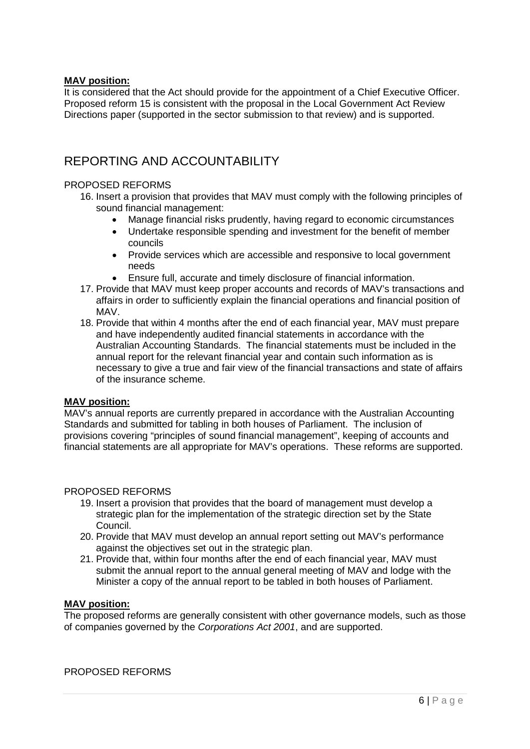#### **MAV position:**

It is considered that the Act should provide for the appointment of a Chief Executive Officer. Proposed reform 15 is consistent with the proposal in the Local Government Act Review Directions paper (supported in the sector submission to that review) and is supported.

### REPORTING AND ACCOUNTABILITY

#### PROPOSED REFORMS

- 16. Insert a provision that provides that MAV must comply with the following principles of sound financial management:
	- Manage financial risks prudently, having regard to economic circumstances
	- Undertake responsible spending and investment for the benefit of member councils
	- Provide services which are accessible and responsive to local government needs
	- Ensure full, accurate and timely disclosure of financial information.
- 17. Provide that MAV must keep proper accounts and records of MAV's transactions and affairs in order to sufficiently explain the financial operations and financial position of MAV.
- 18. Provide that within 4 months after the end of each financial year, MAV must prepare and have independently audited financial statements in accordance with the Australian Accounting Standards. The financial statements must be included in the annual report for the relevant financial year and contain such information as is necessary to give a true and fair view of the financial transactions and state of affairs of the insurance scheme.

#### **MAV position:**

MAV's annual reports are currently prepared in accordance with the Australian Accounting Standards and submitted for tabling in both houses of Parliament. The inclusion of provisions covering "principles of sound financial management", keeping of accounts and financial statements are all appropriate for MAV's operations. These reforms are supported.

#### PROPOSED REFORMS

- 19. Insert a provision that provides that the board of management must develop a strategic plan for the implementation of the strategic direction set by the State Council.
- 20. Provide that MAV must develop an annual report setting out MAV's performance against the objectives set out in the strategic plan.
- 21. Provide that, within four months after the end of each financial year, MAV must submit the annual report to the annual general meeting of MAV and lodge with the Minister a copy of the annual report to be tabled in both houses of Parliament.

#### **MAV position:**

The proposed reforms are generally consistent with other governance models, such as those of companies governed by the *Corporations Act 2001*, and are supported.

PROPOSED REFORMS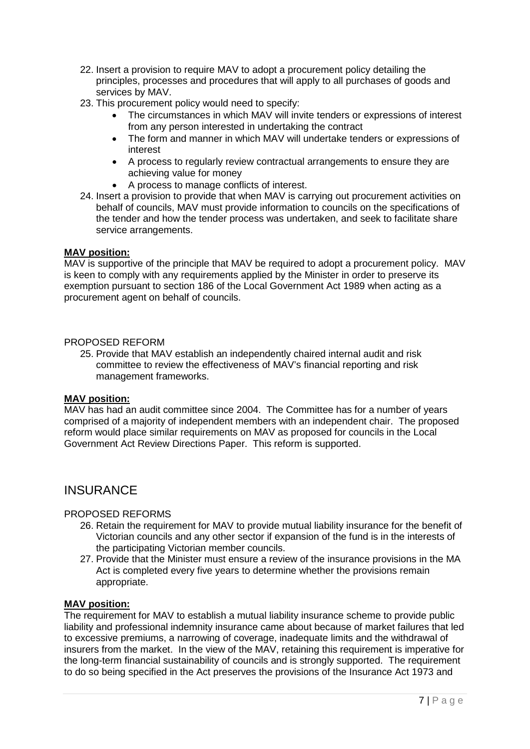- 22. Insert a provision to require MAV to adopt a procurement policy detailing the principles, processes and procedures that will apply to all purchases of goods and services by MAV.
- 23. This procurement policy would need to specify:
	- The circumstances in which MAV will invite tenders or expressions of interest from any person interested in undertaking the contract
	- The form and manner in which MAV will undertake tenders or expressions of interest
	- A process to regularly review contractual arrangements to ensure they are achieving value for money
	- A process to manage conflicts of interest.
- 24. Insert a provision to provide that when MAV is carrying out procurement activities on behalf of councils, MAV must provide information to councils on the specifications of the tender and how the tender process was undertaken, and seek to facilitate share service arrangements.

#### **MAV position:**

MAV is supportive of the principle that MAV be required to adopt a procurement policy. MAV is keen to comply with any requirements applied by the Minister in order to preserve its exemption pursuant to section 186 of the Local Government Act 1989 when acting as a procurement agent on behalf of councils.

#### PROPOSED REFORM

25. Provide that MAV establish an independently chaired internal audit and risk committee to review the effectiveness of MAV's financial reporting and risk management frameworks.

#### **MAV position:**

MAV has had an audit committee since 2004. The Committee has for a number of years comprised of a majority of independent members with an independent chair. The proposed reform would place similar requirements on MAV as proposed for councils in the Local Government Act Review Directions Paper. This reform is supported.

### **INSURANCE**

#### PROPOSED REFORMS

- 26. Retain the requirement for MAV to provide mutual liability insurance for the benefit of Victorian councils and any other sector if expansion of the fund is in the interests of the participating Victorian member councils.
- 27. Provide that the Minister must ensure a review of the insurance provisions in the MA Act is completed every five years to determine whether the provisions remain appropriate.

#### **MAV position:**

The requirement for MAV to establish a mutual liability insurance scheme to provide public liability and professional indemnity insurance came about because of market failures that led to excessive premiums, a narrowing of coverage, inadequate limits and the withdrawal of insurers from the market. In the view of the MAV, retaining this requirement is imperative for the long-term financial sustainability of councils and is strongly supported. The requirement to do so being specified in the Act preserves the provisions of the Insurance Act 1973 and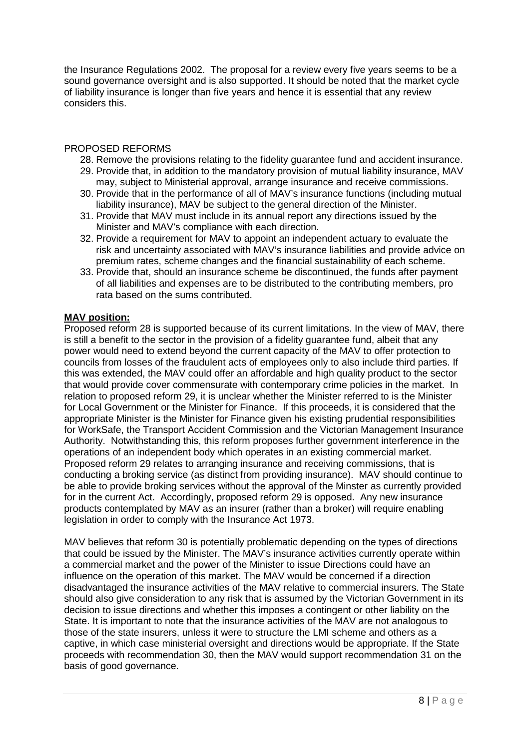the Insurance Regulations 2002. The proposal for a review every five years seems to be a sound governance oversight and is also supported. It should be noted that the market cycle of liability insurance is longer than five years and hence it is essential that any review considers this.

#### PROPOSED REFORMS

- 28. Remove the provisions relating to the fidelity guarantee fund and accident insurance.
- 29. Provide that, in addition to the mandatory provision of mutual liability insurance, MAV may, subject to Ministerial approval, arrange insurance and receive commissions.
- 30. Provide that in the performance of all of MAV's insurance functions (including mutual liability insurance), MAV be subject to the general direction of the Minister.
- 31. Provide that MAV must include in its annual report any directions issued by the Minister and MAV's compliance with each direction.
- 32. Provide a requirement for MAV to appoint an independent actuary to evaluate the risk and uncertainty associated with MAV's insurance liabilities and provide advice on premium rates, scheme changes and the financial sustainability of each scheme.
- 33. Provide that, should an insurance scheme be discontinued, the funds after payment of all liabilities and expenses are to be distributed to the contributing members, pro rata based on the sums contributed.

#### **MAV position:**

Proposed reform 28 is supported because of its current limitations. In the view of MAV, there is still a benefit to the sector in the provision of a fidelity guarantee fund, albeit that any power would need to extend beyond the current capacity of the MAV to offer protection to councils from losses of the fraudulent acts of employees only to also include third parties. If this was extended, the MAV could offer an affordable and high quality product to the sector that would provide cover commensurate with contemporary crime policies in the market. In relation to proposed reform 29, it is unclear whether the Minister referred to is the Minister for Local Government or the Minister for Finance. If this proceeds, it is considered that the appropriate Minister is the Minister for Finance given his existing prudential responsibilities for WorkSafe, the Transport Accident Commission and the Victorian Management Insurance Authority. Notwithstanding this, this reform proposes further government interference in the operations of an independent body which operates in an existing commercial market. Proposed reform 29 relates to arranging insurance and receiving commissions, that is conducting a broking service (as distinct from providing insurance). MAV should continue to be able to provide broking services without the approval of the Minster as currently provided for in the current Act. Accordingly, proposed reform 29 is opposed. Any new insurance products contemplated by MAV as an insurer (rather than a broker) will require enabling legislation in order to comply with the Insurance Act 1973.

MAV believes that reform 30 is potentially problematic depending on the types of directions that could be issued by the Minister. The MAV's insurance activities currently operate within a commercial market and the power of the Minister to issue Directions could have an influence on the operation of this market. The MAV would be concerned if a direction disadvantaged the insurance activities of the MAV relative to commercial insurers. The State should also give consideration to any risk that is assumed by the Victorian Government in its decision to issue directions and whether this imposes a contingent or other liability on the State. It is important to note that the insurance activities of the MAV are not analogous to those of the state insurers, unless it were to structure the LMI scheme and others as a captive, in which case ministerial oversight and directions would be appropriate. If the State proceeds with recommendation 30, then the MAV would support recommendation 31 on the basis of good governance.